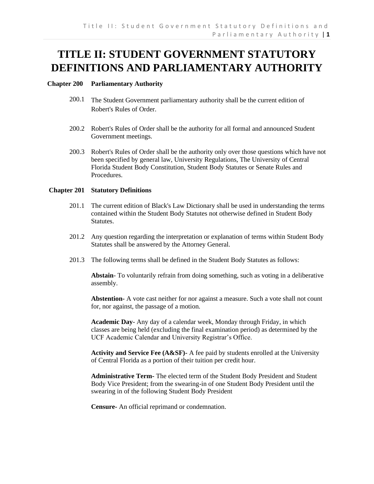## **TITLE II: STUDENT GOVERNMENT STATUTORY DEFINITIONS AND PARLIAMENTARY AUTHORITY**

## **Chapter 200 Parliamentary Authority**

- 200.1 The Student Government parliamentary authority shall be the current edition of Robert's Rules of Order.
- 200.2 Robert's Rules of Order shall be the authority for all formal and announced Student Government meetings.
- 200.3 Robert's Rules of Order shall be the authority only over those questions which have not been specified by general law, University Regulations, The University of Central Florida Student Body Constitution, Student Body Statutes or Senate Rules and Procedures.

## **Chapter 201 Statutory Definitions**

- 201.1 The current edition of Black's Law Dictionary shall be used in understanding the terms contained within the Student Body Statutes not otherwise defined in Student Body Statutes.
- 201.2 Any question regarding the interpretation or explanation of terms within Student Body Statutes shall be answered by the Attorney General.
- 201.3 The following terms shall be defined in the Student Body Statutes as follows:

**Abstain**- To voluntarily refrain from doing something, such as voting in a deliberative assembly.

**Abstention-** A vote cast neither for nor against a measure. Such a vote shall not count for, nor against, the passage of a motion.

**Academic Day**- Any day of a calendar week, Monday through Friday, in which classes are being held (excluding the final examination period) as determined by the UCF Academic Calendar and University Registrar's Office.

**Activity and Service Fee (A&SF)-** A fee paid by students enrolled at the University of Central Florida as a portion of their tuition per credit hour.

**Administrative Term-** The elected term of the Student Body President and Student Body Vice President; from the swearing-in of one Student Body President until the swearing in of the following Student Body President

**Censure-** An official reprimand or condemnation.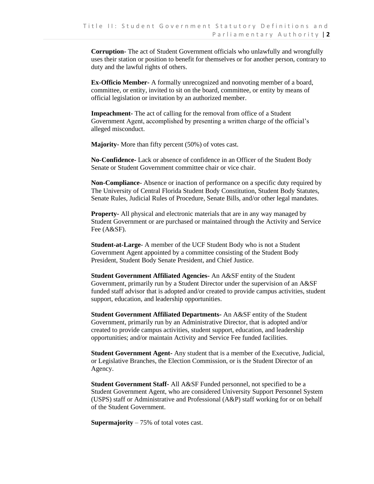**Corruption-** The act of Student Government officials who unlawfully and wrongfully uses their station or position to benefit for themselves or for another person, contrary to duty and the lawful rights of others.

**Ex-Officio Member-** A formally unrecognized and nonvoting member of a board, committee, or entity, invited to sit on the board, committee, or entity by means of official legislation or invitation by an authorized member.

**Impeachment-** The act of calling for the removal from office of a Student Government Agent, accomplished by presenting a written charge of the official's alleged misconduct.

**Majority-** More than fifty percent (50%) of votes cast.

**No-Confidence-** Lack or absence of confidence in an Officer of the Student Body Senate or Student Government committee chair or vice chair.

**Non-Compliance**- Absence or inaction of performance on a specific duty required by The University of Central Florida Student Body Constitution, Student Body Statutes, Senate Rules, Judicial Rules of Procedure, Senate Bills, and/or other legal mandates.

**Property-** All physical and electronic materials that are in any way managed by Student Government or are purchased or maintained through the Activity and Service Fee (A&SF).

**Student-at-Large**- A member of the UCF Student Body who is not a Student Government Agent appointed by a committee consisting of the Student Body President, Student Body Senate President, and Chief Justice.

**Student Government Affiliated Agencies-** An A&SF entity of the Student Government, primarily run by a Student Director under the supervision of an A&SF funded staff advisor that is adopted and/or created to provide campus activities, student support, education, and leadership opportunities.

**Student Government Affiliated Departments-** An A&SF entity of the Student Government, primarily run by an Administrative Director, that is adopted and/or created to provide campus activities, student support, education, and leadership opportunities; and/or maintain Activity and Service Fee funded facilities.

**Student Government Agent-** Any student that is a member of the Executive, Judicial, or Legislative Branches, the Election Commission, or is the Student Director of an Agency.

**Student Government Staff-** All A&SF Funded personnel, not specified to be a Student Government Agent, who are considered University Support Personnel System (USPS) staff or Administrative and Professional (A&P) staff working for or on behalf of the Student Government.

**Supermajority** – 75% of total votes cast.